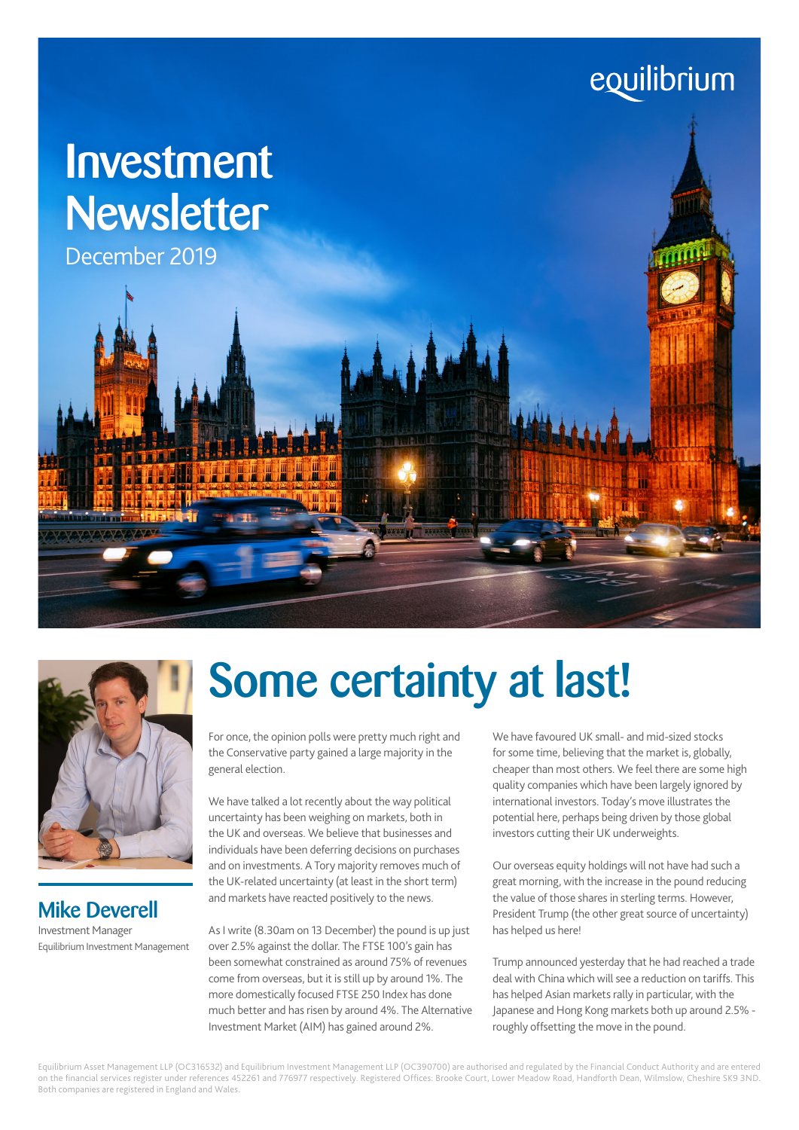# equilibrium

# Investment Newsletter

December 2019



### Mike Deverell Investment Manager Equilibrium Investment Management

# Some certainty at last!

For once, the opinion polls were pretty much right and the Conservative party gained a large majority in the general election.

We have talked a lot recently about the way political uncertainty has been weighing on markets, both in the UK and overseas. We believe that businesses and individuals have been deferring decisions on purchases and on investments. A Tory majority removes much of the UK-related uncertainty (at least in the short term) and markets have reacted positively to the news.

As I write (8.30am on 13 December) the pound is up just over 2.5% against the dollar. The FTSE 100's gain has been somewhat constrained as around 75% of revenues come from overseas, but it is still up by around 1%. The more domestically focused FTSE 250 Index has done much better and has risen by around 4%. The Alternative Investment Market (AIM) has gained around 2%.

We have favoured UK small- and mid-sized stocks for some time, believing that the market is, globally, cheaper than most others. We feel there are some high quality companies which have been largely ignored by international investors. Today's move illustrates the potential here, perhaps being driven by those global investors cutting their UK underweights.

Our overseas equity holdings will not have had such a great morning, with the increase in the pound reducing the value of those shares in sterling terms. However, President Trump (the other great source of uncertainty) has helped us here!

Trump announced yesterday that he had reached a trade deal with China which will see a reduction on tariffs. This has helped Asian markets rally in particular, with the Japanese and Hong Kong markets both up around 2.5% roughly offsetting the move in the pound.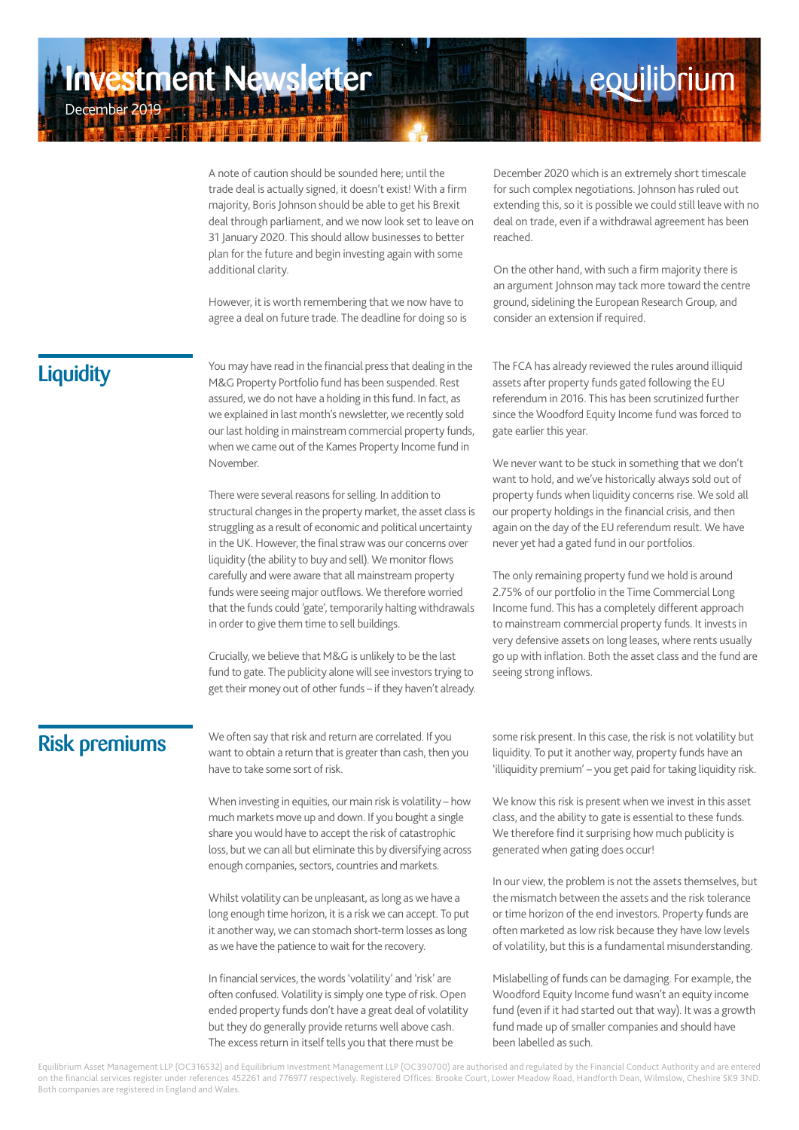A note of caution should be sounded here; until the trade deal is actually signed, it doesn't exist! With a firm majority, Boris Johnson should be able to get his Brexit deal through parliament, and we now look set to leave on 31 January 2020. This should allow businesses to better plan for the future and begin investing again with some additional clarity.

However, it is worth remembering that we now have to agree a deal on future trade. The deadline for doing so is

**Liquidity** 

December 2019

You may have read in the financial press that dealing in the M&G Property Portfolio fund has been suspended. Rest assured, we do not have a holding in this fund. In fact, as we explained in last month's newsletter, we recently sold our last holding in mainstream commercial property funds, when we came out of the Kames Property Income fund in November.

There were several reasons for selling. In addition to structural changes in the property market, the asset class is struggling as a result of economic and political uncertainty in the UK. However, the final straw was our concerns over liquidity (the ability to buy and sell). We monitor flows carefully and were aware that all mainstream property funds were seeing major outflows. We therefore worried that the funds could 'gate', temporarily halting withdrawals in order to give them time to sell buildings.

Crucially, we believe that M&G is unlikely to be the last fund to gate. The publicity alone will see investors trying to get their money out of other funds – if they haven't already.

December 2020 which is an extremely short timescale for such complex negotiations. Johnson has ruled out extending this, so it is possible we could still leave with no deal on trade, even if a withdrawal agreement has been reached.

**Leouilibrium** 

On the other hand, with such a firm majority there is an argument Johnson may tack more toward the centre ground, sidelining the European Research Group, and consider an extension if required.

The FCA has already reviewed the rules around illiquid assets after property funds gated following the EU referendum in 2016. This has been scrutinized further since the Woodford Equity Income fund was forced to gate earlier this year.

We never want to be stuck in something that we don't want to hold, and we've historically always sold out of property funds when liquidity concerns rise. We sold all our property holdings in the financial crisis, and then again on the day of the EU referendum result. We have never yet had a gated fund in our portfolios.

The only remaining property fund we hold is around 2.75% of our portfolio in the Time Commercial Long Income fund. This has a completely different approach to mainstream commercial property funds. It invests in very defensive assets on long leases, where rents usually go up with inflation. Both the asset class and the fund are seeing strong inflows.

### Risk premiums

We often say that risk and return are correlated. If you want to obtain a return that is greater than cash, then you have to take some sort of risk.

When investing in equities, our main risk is volatility – how much markets move up and down. If you bought a single share you would have to accept the risk of catastrophic loss, but we can all but eliminate this by diversifying across enough companies, sectors, countries and markets.

Whilst volatility can be unpleasant, as long as we have a long enough time horizon, it is a risk we can accept. To put it another way, we can stomach short-term losses as long as we have the patience to wait for the recovery.

In financial services, the words 'volatility' and 'risk' are often confused. Volatility is simply one type of risk. Open ended property funds don't have a great deal of volatility but they do generally provide returns well above cash. The excess return in itself tells you that there must be

some risk present. In this case, the risk is not volatility but liquidity. To put it another way, property funds have an 'illiquidity premium' – you get paid for taking liquidity risk.

We know this risk is present when we invest in this asset class, and the ability to gate is essential to these funds. We therefore find it surprising how much publicity is generated when gating does occur!

In our view, the problem is not the assets themselves, but the mismatch between the assets and the risk tolerance or time horizon of the end investors. Property funds are often marketed as low risk because they have low levels of volatility, but this is a fundamental misunderstanding.

Mislabelling of funds can be damaging. For example, the Woodford Equity Income fund wasn't an equity income fund (even if it had started out that way). It was a growth fund made up of smaller companies and should have been labelled as such.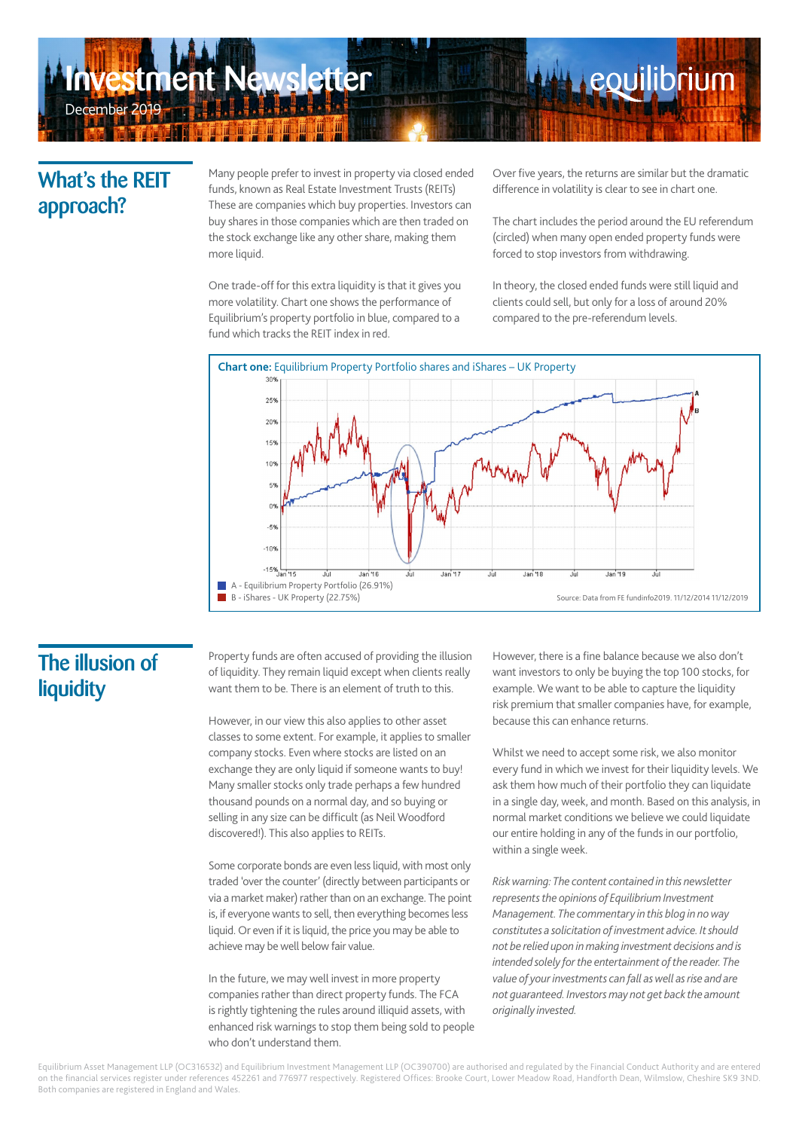# **Iment Newsletter** December 2019

### What's the REIT approach?

Many people prefer to invest in property via closed ended funds, known as Real Estate Investment Trusts (REITs) These are companies which buy properties. Investors can buy shares in those companies which are then traded on the stock exchange like any other share, making them more liquid.

One trade-off for this extra liquidity is that it gives you more volatility. Chart one shows the performance of Equilibrium's property portfolio in blue, compared to a fund which tracks the REIT index in red.

Over five years, the returns are similar but the dramatic difference in volatility is clear to see in chart one.

**Leouilibrium** 

The chart includes the period around the EU referendum (circled) when many open ended property funds were forced to stop investors from withdrawing.

In theory, the closed ended funds were still liquid and clients could sell, but only for a loss of around 20% compared to the pre-referendum levels.



### The illusion of **liquidity**

Property funds are often accused of providing the illusion of liquidity. They remain liquid except when clients really want them to be. There is an element of truth to this.

However, in our view this also applies to other asset classes to some extent. For example, it applies to smaller company stocks. Even where stocks are listed on an exchange they are only liquid if someone wants to buy! Many smaller stocks only trade perhaps a few hundred thousand pounds on a normal day, and so buying or selling in any size can be difficult (as Neil Woodford discovered!). This also applies to REITs.

Some corporate bonds are even less liquid, with most only traded 'over the counter' (directly between participants or via a market maker) rather than on an exchange. The point is, if everyone wants to sell, then everything becomes less liquid. Or even if it is liquid, the price you may be able to achieve may be well below fair value.

In the future, we may well invest in more property companies rather than direct property funds. The FCA is rightly tightening the rules around illiquid assets, with enhanced risk warnings to stop them being sold to people who don't understand them.

However, there is a fine balance because we also don't want investors to only be buying the top 100 stocks, for example. We want to be able to capture the liquidity risk premium that smaller companies have, for example, because this can enhance returns.

Whilst we need to accept some risk, we also monitor every fund in which we invest for their liquidity levels. We ask them how much of their portfolio they can liquidate in a single day, week, and month. Based on this analysis, in normal market conditions we believe we could liquidate our entire holding in any of the funds in our portfolio, within a single week.

*Risk warning: The content contained in this newsletter represents the opinions of Equilibrium Investment Management. The commentary in this blog in no way constitutes a solicitation of investment advice. It should not be relied upon in making investment decisions and is intended solely for the entertainment of the reader. The value of your investments can fall as well as rise and are not guaranteed. Investors may not get back the amount originally invested.*